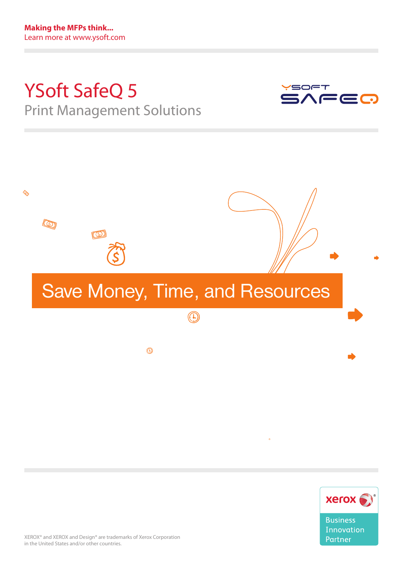# YSoft SafeQ 5 Print Management Solutions





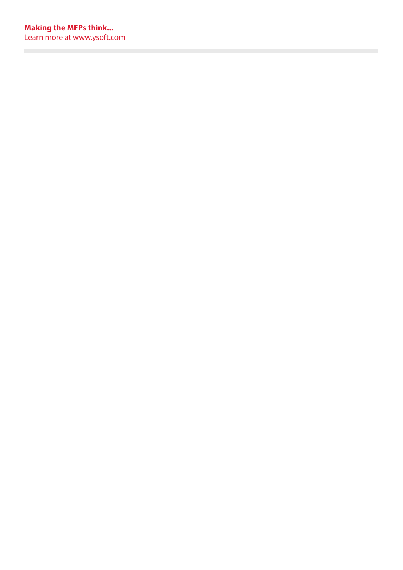**Contract**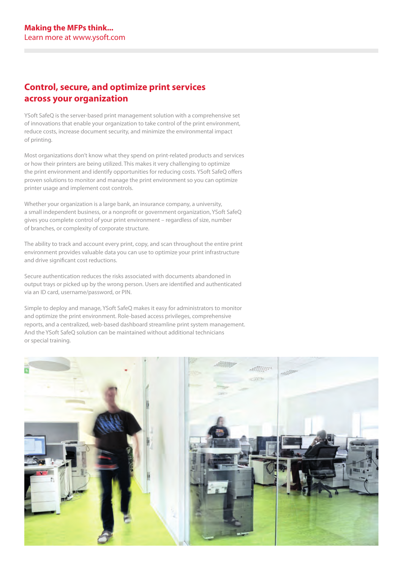### **Control, secure, and optimize print services across your organization**

YSoft SafeQ is the server-based print management solution with a comprehensive set of innovations that enable your organization to take control of the print environment, reduce costs, increase document security, and minimize the environmental impact of printing.

Most organizations don't know what they spend on print-related products and services or how their printers are being utilized. This makes it very challenging to optimize the print environment and identify opportunities for reducing costs. YSoft SafeQ offers proven solutions to monitor and manage the print environment so you can optimize printer usage and implement cost controls.

Whether your organization is a large bank, an insurance company, a university, a small independent business, or a nonprofit or government organization, YSoft SafeQ gives you complete control of your print environment – regardless of size, number of branches, or complexity of corporate structure.

The ability to track and account every print, copy, and scan throughout the entire print environment provides valuable data you can use to optimize your print infrastructure and drive significant cost reductions.

Secure authentication reduces the risks associated with documents abandoned in output trays or picked up by the wrong person. Users are identified and authenticated via an ID card, username/password, or PIN.

Simple to deploy and manage, YSoft SafeQ makes it easy for administrators to monitor and optimize the print environment. Role-based access privileges, comprehensive reports, and a centralized, web-based dashboard streamline print system management. And the YSoft SafeQ solution can be maintained without additional technicians or special training.

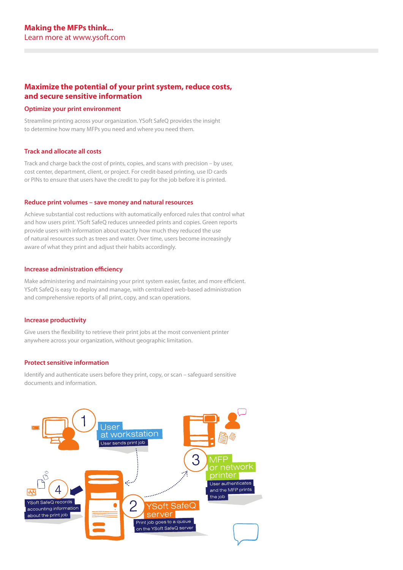### **Maximize the potential of your print system, reduce costs, and secure sensitive information**

### **Optimize your print environment**

Streamline printing across your organization. YSoft SafeQ provides the insight to determine how many MFPs you need and where you need them.

### **Track and allocate all costs**

Track and charge back the cost of prints, copies, and scans with precision – by user, cost center, department, client, or project. For credit-based printing, use ID cards or PINs to ensure that users have the credit to pay for the job before it is printed.

### **Reduce print volumes – save money and natural resources**

Achieve substantial cost reductions with automatically enforced rules that control what and how users print. YSoft SafeQ reduces unneeded prints and copies. Green reports provide users with information about exactly how much they reduced the use of natural resources such as trees and water. Over time, users become increasingly aware of what they print and adjust their habits accordingly.

### **Increase administration efficiency**

Make administering and maintaining your print system easier, faster, and more efficient. YSoft SafeQ is easy to deploy and manage, with centralized web-based administration and comprehensive reports of all print, copy, and scan operations.

### **Increase productivity**

Give users the flexibility to retrieve their print jobs at the most convenient printer anywhere across your organization, without geographic limitation.

### **Protect sensitive information**

Identify and authenticate users before they print, copy, or scan – safeguard sensitive documents and information.

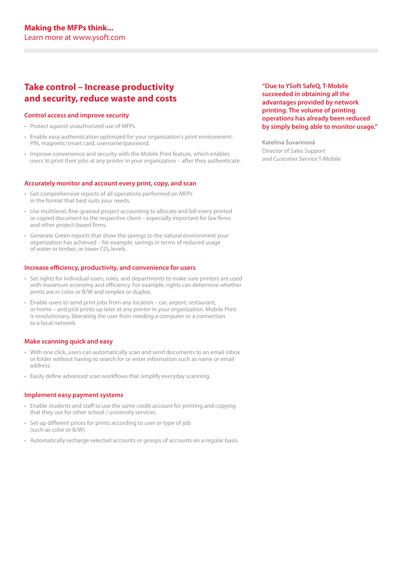### **Take control – Increase productivity and security, reduce waste and costs**

#### **Control access and improve security**

- • Protect against unauthorized use of MFPs.
- Enable easy authentication optimized for your organization's print environment: PIN, magnetic/smart card, username/password.
- • Improve convenience and security with the Mobile Print feature, which enables users to print their jobs at any printer in your organization – after they authenticate.

### **Accurately monitor and account every print, copy, and scan**

- • Get comprehensive reports of all operations performed on MFPs in the format that best suits your needs.
- • Use multilevel, fine-grained project accounting to allocate and bill every printed or copied document to the respective client – especially important for law firms and other project-based firms.
- • Generate Green reports that show the savings to the natural environment your organization has achieved – for example, savings in terms of reduced usage of water or timber, or lower CO<sub>2</sub> levels.

### **Increase efficiency, productivity, and convenience for users**

- • Set rights for individual users, roles, and departments to make sure printers are used with maximum economy and efficiency. For example, rights can determine whether prints are in color or B/W and simplex or duplex.
- Enable users to send print jobs from any location car, airport, restaurant, or home – and pick prints up later at any printer in your organization. Mobile Print is revolutionary, liberating the user from needing a computer or a connection to a local network.

#### **Make scanning quick and easy**

- With one click, users can automatically scan and send documents to an email inbox or folder without having to search for or enter information such as name or email address.
- • Easily define advanced scan workflows that simplify everyday scanning.

#### **Implement easy payment systems**

- Enable students and staff to use the same credit account for printing and copying that they use for other school / university services.
- Set up different prices for prints according to user or type of job (such as color or B/W)
- Automatically recharge selected accounts or groups of accounts on a regular basis.

**"Due to YSoft SafeQ, T-Mobile succeeded in obtaining all the advantages provided by network printing. The volume of printing operations has already been reduced by simply being able to monitor usage."**

**Kateřina Šuvarinová** Director of Sales Support and Customer Service T-Mobile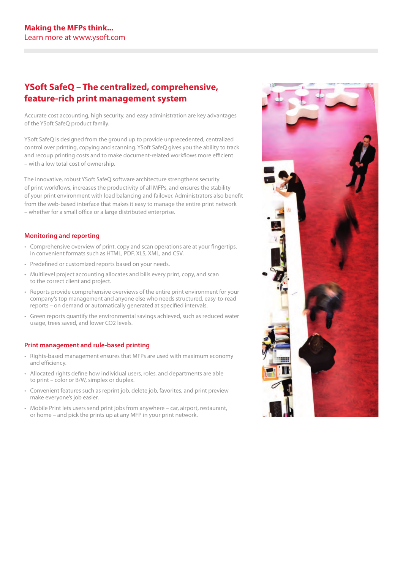### **YSoft SafeQ – The centralized, comprehensive, feature-rich print management system**

Accurate cost accounting, high security, and easy administration are key advantages of the YSoft SafeQ product family.

YSoft SafeQ is designed from the ground up to provide unprecedented, centralized control over printing, copying and scanning. YSoft SafeQ gives you the ability to track and recoup printing costs and to make document-related workflows more efficient – with a low total cost of ownership.

The innovative, robust YSoft SafeQ software architecture strengthens security of print workflows, increases the productivity of all MFPs, and ensures the stability of your print environment with load balancing and failover. Administrators also benefit from the web-based interface that makes it easy to manage the entire print network – whether for a small office or a large distributed enterprise.

### **Monitoring and reporting**

- • Comprehensive overview of print, copy and scan operations are at your fingertips, in convenient formats such as HTML, PDF, XLS, XML, and CSV.
- Predefined or customized reports based on your needs.
- Multilevel project accounting allocates and bills every print, copy, and scan to the correct client and project.
- • Reports provide comprehensive overviews of the entire print environment for your company's top management and anyone else who needs structured, easy-to-read reports – on demand or automatically generated at specified intervals.
- • Green reports quantify the environmental savings achieved, such as reduced water usage, trees saved, and lower CO2 levels.

#### **Print management and rule-based printing**

- • Rights-based management ensures that MFPs are used with maximum economy and efficiency.
- • Allocated rights define how individual users, roles, and departments are able to print – color or B/W, simplex or duplex.
- • Convenient features such as reprint job, delete job, favorites, and print preview make everyone's job easier.
- Mobile Print lets users send print jobs from anywhere car, airport, restaurant, or home – and pick the prints up at any MFP in your print network.

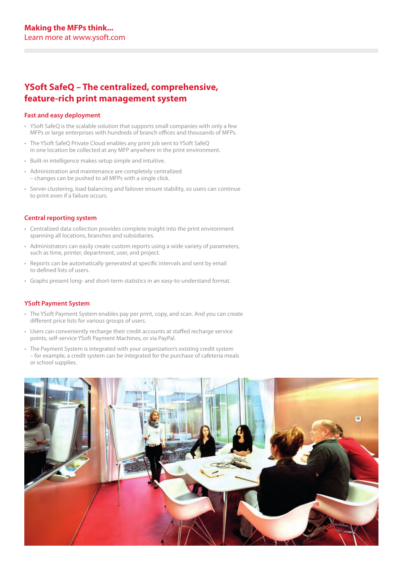### **YSoft SafeQ – The centralized, comprehensive, feature-rich print management system**

### **Fast and easy deployment**

- YSoft SafeO is the scalable solution that supports small companies with only a few MFPs or large enterprises with hundreds of branch offices and thousands of MFPs.
- The YSoft SafeQ Private Cloud enables any print job sent to YSoft SafeQ in one location be collected at any MFP anywhere in the print environment.
- • Built-in intelligence makes setup simple and intuitive.
- • Administration and maintenance are completely centralized – changes can be pushed to all MFPs with a single click.
- • Server clustering, load balancing and failover ensure stability, so users can continue to print even if a failure occurs.

### **Central reporting system**

- • Centralized data collection provides complete insight into the print environment spanning all locations, branches and subsidiaries.
- Administrators can easily create custom reports using a wide variety of parameters, such as time, printer, department, user, and project.
- Reports can be automatically generated at specific intervals and sent by email to defined lists of users.
- • Graphs present long- and short-term statistics in an easy-to-understand format.

#### **YSoft Payment System**

- The YSoft Payment System enables pay per print, copy, and scan. And you can create different price lists for various groups of users.
- • Users can conveniently recharge their credit accounts at staffed recharge service points, self-service YSoft Payment Machines, or via PayPal.
- The Payment System is integrated with your organization's existing credit system – for example, a credit system can be integrated for the purchase of cafeteria meals or school supplies.

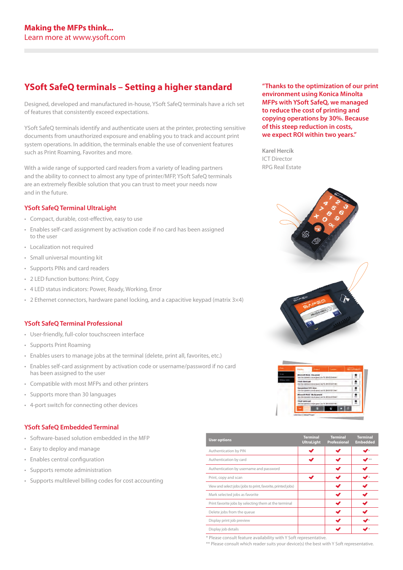## **YSoft SafeQ terminals – Setting a higher standard**

Designed, developed and manufactured in-house, YSoft SafeQ terminals have a rich set of features that consistently exceed expectations.

YSoft SafeQ terminals identify and authenticate users at the printer, protecting sensitive documents from unauthorized exposure and enabling you to track and account print system operations. In addition, the terminals enable the use of convenient features such as Print Roaming, Favorites and more.

With a wide range of supported card readers from a variety of leading partners and the ability to connect to almost any type of printer/MFP, YSoft SafeQ terminals are an extremely flexible solution that you can trust to meet your needs now and in the future.

### **YSoft SafeQ Terminal UltraLight**

- • Compact, durable, cost-effective, easy to use
- Enables self-card assignment by activation code if no card has been assigned to the user
- • Localization not required
- • Small universal mounting kit
- • Supports PINs and card readers
- • 2 LED function buttons: Print, Copy
- • 4 LED status indicators: Power, Ready, Working, Error
- 2 Ethernet connectors, hardware panel locking, and a capacitive keypad (matrix 3×4)

### **YSoft SafeQ Terminal Professional**

- • User-friendly, full-color touchscreen interface
- • Supports Print Roaming
- • Enables users to manage jobs at the terminal (delete, print all, favorites, etc.)
- • Enables self-card assignment by activation code or username/password if no card has been assigned to the user
- • Compatible with most MFPs and other printers
- • Supports more than 30 languages
- • 4-port switch for connecting other devices

### **YSoft SafeQ Embedded Terminal**

- • Software-based solution embedded in the MFP
- • Easy to deploy and manage
- • Enables central configuration
- • Supports remote administration
- • Supports multilevel billing codes for cost accounting

**"Thanks to the optimization of our print environment using Konica Minolta MFPs with YSoft SafeQ, we managed to reduce the cost of printing and copying operations by 30%. Because of this steep reduction in costs, we expect ROI within two years."**

**Karel Hercík** ICT Director RPG Real Estate





| <b>User options</b>                                          | <b>Terminal</b><br><b>UltraLight</b> | <b>Terminal</b><br><b>Professional</b> | <b>Terminal</b><br><b>Embedded</b> |
|--------------------------------------------------------------|--------------------------------------|----------------------------------------|------------------------------------|
| Authentication by PIN                                        |                                      |                                        | ◢                                  |
| Authentication by card                                       |                                      |                                        | $\mathcal{L}$ in the set           |
| Authentication by username and password                      |                                      |                                        |                                    |
| Print, copy and scan                                         |                                      |                                        |                                    |
| View and select jobs (jobs to print, favorite, printed jobs) |                                      |                                        |                                    |
| Mark selected jobs as favorite                               |                                      |                                        |                                    |
| Print favorite jobs by selecting them at the terminal        |                                      |                                        |                                    |
| Delete jobs from the queue                                   |                                      |                                        |                                    |
| Display print job preview                                    |                                      |                                        | ◢                                  |
| Display job details                                          |                                      |                                        |                                    |

<sup>\*</sup> Please consult feature availability with Y Soft representative.

\*\* Please consult which reader suits your device(s) the best with Y Soft representative.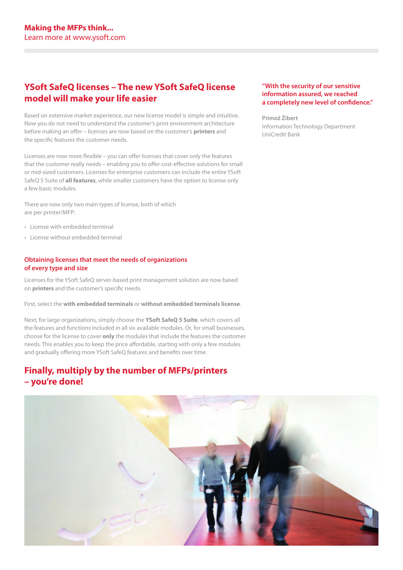## **YSoft SafeQ licenses – The new YSoft SafeQ license model will make your life easier**

Based on extensive market experience, our new license model is simple and intuitive. Now you do not need to understand the customer's print environment architecture before making an offer – licenses are now based on the customer's **printers** and the specific features the customer needs.

Licenses are now more flexible – you can offer licenses that cover only the features that the customer really needs – enabling you to offer cost-effective solutions for small or mid-sized customers. Licenses for enterprise customers can include the entire YSoft SafeQ 5 Suite of **all features**, while smaller customers have the option to license only a few basic modules.

There are now only two main types of license, both of which are per printer/MFP:

- • License with embedded terminal
- • License without embedded terminal

### **Obtaining licenses that meet the needs of organizations of every type and size**

Licenses for the YSoft SafeQ server-based print management solution are now based on **printers** and the customer's specific needs.

#### First, select the **with embedded terminals** or **without embedded terminals license**.

Next, for large organizations, simply choose the **YSoft SafeQ 5 Suite**, which covers all the features and functions included in all six available modules. Or, for small businesses, choose for the license to cover **only** the modules that include the features the customer needs. This enables you to keep the price affordable, starting with only a few modules and gradually offering more YSoft SafeQ features and benefits over time.

### **Finally, multiply by the number of MFPs/printers – you're done!**



### **"With the security of our sensitive information assured, we reached a completely new level of confidence."**

**Primož Žibert** Information Technology Department UniCredit Bank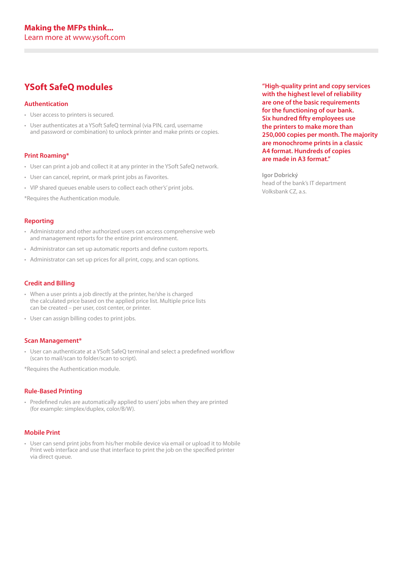### **YSoft SafeQ modules**

### **Authentication**

- • User access to printers is secured.
- • User authenticates at a YSoft SafeQ terminal (via PIN, card, username and password or combination) to unlock printer and make prints or copies.

### **Print Roaming\***

- User can print a job and collect it at any printer in the YSoft SafeQ network.
- User can cancel, reprint, or mark print jobs as Favorites.
- VIP shared queues enable users to collect each other's' print jobs.

\*Requires the Authentication module.

### **Reporting**

- • Administrator and other authorized users can access comprehensive web and management reports for the entire print environment.
- • Administrator can set up automatic reports and define custom reports.
- • Administrator can set up prices for all print, copy, and scan options.

### **Credit and Billing**

- • When a user prints a job directly at the printer, he/she is charged the calculated price based on the applied price list. Multiple price lists can be created – per user, cost center, or printer.
- User can assign billing codes to print jobs.

#### **Scan Management\***

• User can authenticate at a YSoft SafeQ terminal and select a predefined workflow (scan to mail/scan to folder/scan to script).

\*Requires the Authentication module.

#### **Rule-Based Printing**

• Predefined rules are automatically applied to users' jobs when they are printed (for example: simplex/duplex, color/B/W).

### **Mobile Print**

• User can send print jobs from his/her mobile device via email or upload it to Mobile Print web interface and use that interface to print the job on the specified printer via direct queue.

**"High-quality print and copy services with the highest level of reliability are one of the basic requirements for the functioning of our bank. Six hundred fifty employees use the printers to make more than 250,000 copies per month. The majority are monochrome prints in a classic A4 format. Hundreds of copies are made in A3 format."**

**Igor Dobrický** head of the bank's IT department Volksbank CZ, a.s.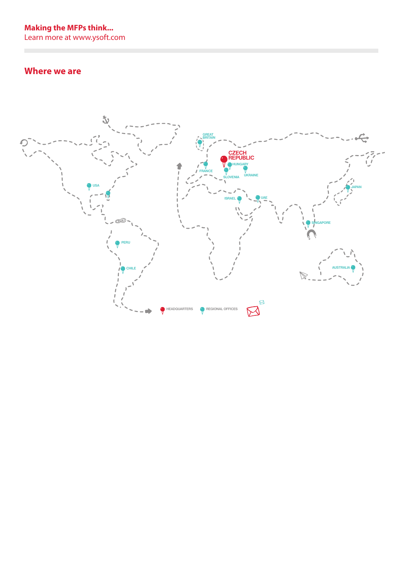# **Where we are**